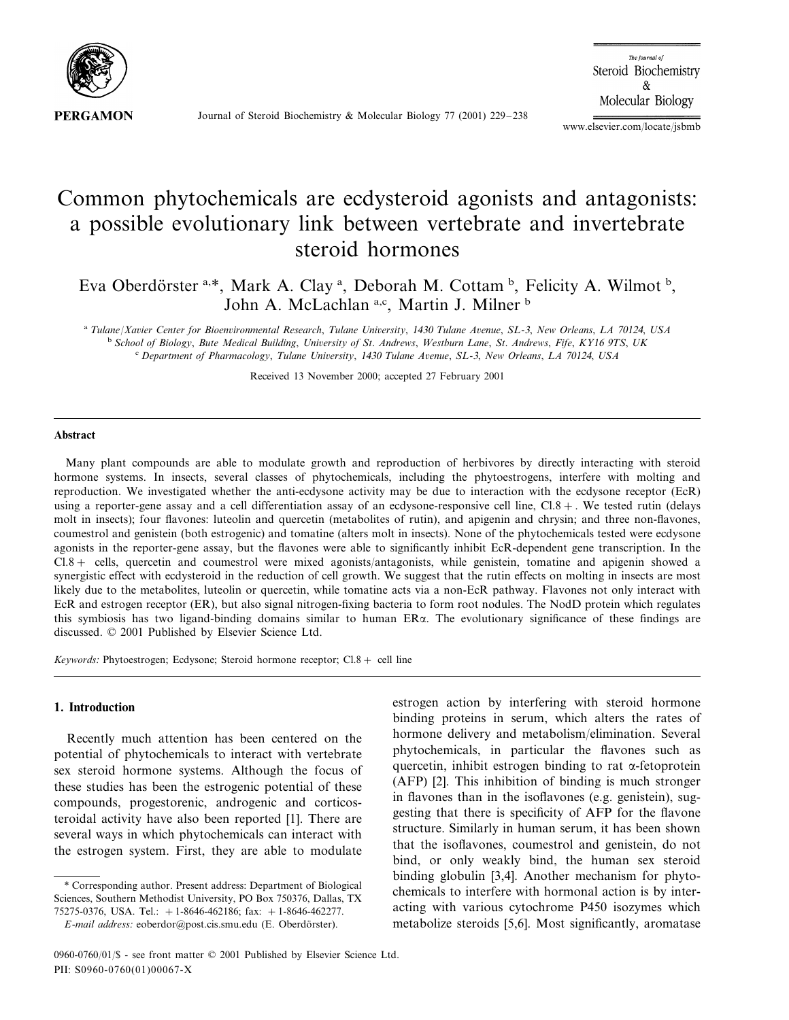

Journal of Steroid Biochemistry & Molecular Biology 77 (2001) 229–238

The Journal of Steroid Biochemistry  $\&$ Molecular Biology

www.elsevier.com/locate/jsbmb

# Common phytochemicals are ecdysteroid agonists and antagonists: a possible evolutionary link between vertebrate and invertebrate steroid hormones

Eva Oberdörster a,\*, Mark A. Clay <sup>a</sup>, Deborah M. Cottam <sup>b</sup>, Felicity A. Wilmot <sup>b</sup>, John A. McLachlan a,c, Martin J. Milner b

<sup>a</sup> *Tulane*/*Xaier Center for Bioenironmental Research*, *Tulane Uniersity*, <sup>1430</sup> *Tulane Aenue*, *SL*-3, *New Orleans*, *LA* <sup>70124</sup>, *USA* <sup>b</sup> *School of Biology*, *Bute Medical Building*, *Uniersity of St*. *Andrews*, *Westburn Lane*, *St*. *Andrews*, *Fife*, *KY*<sup>16</sup> <sup>9</sup>*TS*, *UK* <sup>c</sup> *Department of Pharmacology*, *Tulane Uniersity*, <sup>1430</sup> *Tulane Aenue*, *SL*-3, *New Orleans*, *LA* <sup>70124</sup>, *USA*

Received 13 November 2000; accepted 27 February 2001

#### **Abstract**

Many plant compounds are able to modulate growth and reproduction of herbivores by directly interacting with steroid hormone systems. In insects, several classes of phytochemicals, including the phytoestrogens, interfere with molting and reproduction. We investigated whether the anti-ecdysone activity may be due to interaction with the ecdysone receptor (EcR) using a reporter-gene assay and a cell differentiation assay of an ecdysone-responsive cell line, Cl.8+. We tested rutin (delays molt in insects); four flavones: luteolin and quercetin (metabolites of rutin), and apigenin and chrysin; and three non-flavones, coumestrol and genistein (both estrogenic) and tomatine (alters molt in insects). None of the phytochemicals tested were ecdysone agonists in the reporter-gene assay, but the flavones were able to significantly inhibit EcR-dependent gene transcription. In the Cl.8+ cells, quercetin and coumestrol were mixed agonists/antagonists, while genistein, tomatine and apigenin showed a synergistic effect with ecdysteroid in the reduction of cell growth. We suggest that the rutin effects on molting in insects are most likely due to the metabolites, luteolin or quercetin, while tomatine acts via a non-EcR pathway. Flavones not only interact with EcR and estrogen receptor (ER), but also signal nitrogen-fixing bacteria to form root nodules. The NodD protein which regulates this symbiosis has two ligand-binding domains similar to human  $ER\alpha$ . The evolutionary significance of these findings are discussed. © 2001 Published by Elsevier Science Ltd.

*Keywords*: Phytoestrogen; Ecdysone; Steroid hormone receptor; Cl.8+ cell line

# **1. Introduction**

Recently much attention has been centered on the potential of phytochemicals to interact with vertebrate sex steroid hormone systems. Although the focus of these studies has been the estrogenic potential of these compounds, progestorenic, androgenic and corticosteroidal activity have also been reported [1]. There are several ways in which phytochemicals can interact with the estrogen system. First, they are able to modulate

\* Corresponding author. Present address: Department of Biological Sciences, Southern Methodist University, PO Box 750376, Dallas, TX 75275-0376, USA. Tel.: +1-8646-462186; fax: +1-8646-462277.

estrogen action by interfering with steroid hormone binding proteins in serum, which alters the rates of hormone delivery and metabolism/elimination. Several phytochemicals, in particular the flavones such as quercetin, inhibit estrogen binding to rat  $\alpha$ -fetoprotein (AFP) [2]. This inhibition of binding is much stronger in flavones than in the isoflavones (e.g. genistein), suggesting that there is specificity of AFP for the flavone structure. Similarly in human serum, it has been shown that the isoflavones, coumestrol and genistein, do not bind, or only weakly bind, the human sex steroid binding globulin [3,4]. Another mechanism for phytochemicals to interfere with hormonal action is by interacting with various cytochrome P450 isozymes which metabolize steroids [5,6]. Most significantly, aromatase

*E*-*mail address*: eoberdor@post.cis.smu.edu (E. Oberdo¨rster).

<sup>0960-0760</sup>/01/\$ - see front matter © 2001 Published by Elsevier Science Ltd. PII: S0960-0760(01)00067-X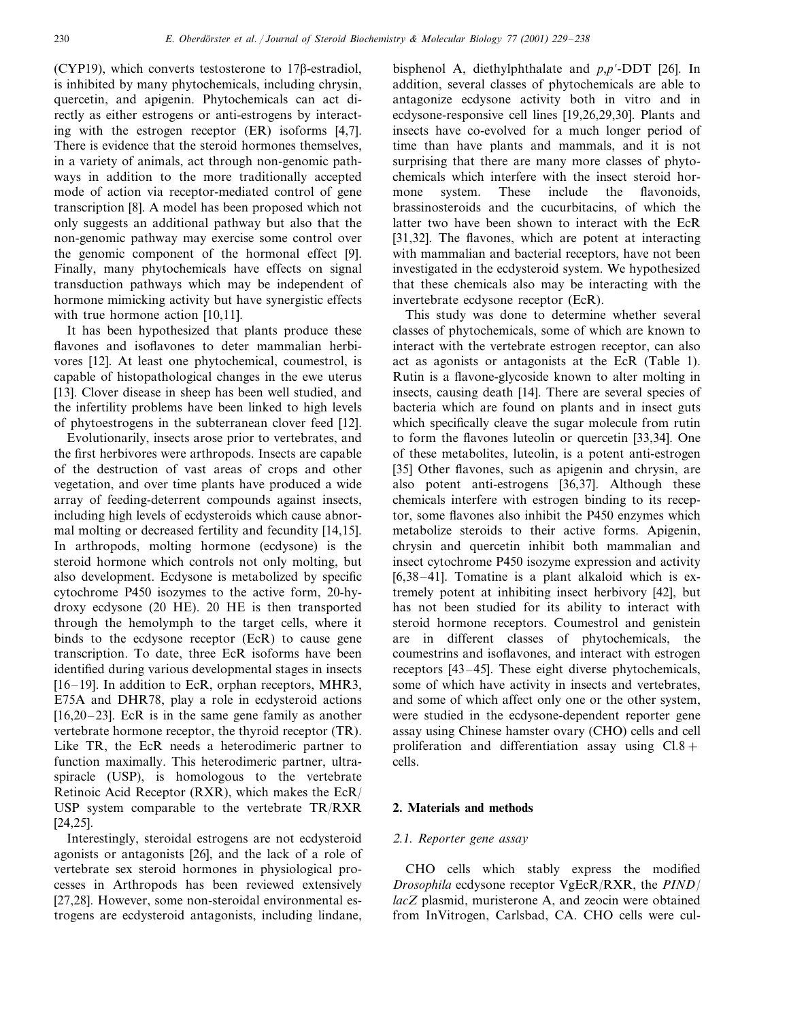(CYP19), which converts testosterone to  $17\beta$ -estradiol, is inhibited by many phytochemicals, including chrysin, quercetin, and apigenin. Phytochemicals can act directly as either estrogens or anti-estrogens by interacting with the estrogen receptor (ER) isoforms [4,7]. There is evidence that the steroid hormones themselves, in a variety of animals, act through non-genomic pathways in addition to the more traditionally accepted mode of action via receptor-mediated control of gene transcription [8]. A model has been proposed which not only suggests an additional pathway but also that the non-genomic pathway may exercise some control over the genomic component of the hormonal effect [9]. Finally, many phytochemicals have effects on signal transduction pathways which may be independent of hormone mimicking activity but have synergistic effects with true hormone action [10,11].

It has been hypothesized that plants produce these flavones and isoflavones to deter mammalian herbivores [12]. At least one phytochemical, coumestrol, is capable of histopathological changes in the ewe uterus [13]. Clover disease in sheep has been well studied, and the infertility problems have been linked to high levels of phytoestrogens in the subterranean clover feed [12].

Evolutionarily, insects arose prior to vertebrates, and the first herbivores were arthropods. Insects are capable of the destruction of vast areas of crops and other vegetation, and over time plants have produced a wide array of feeding-deterrent compounds against insects, including high levels of ecdysteroids which cause abnormal molting or decreased fertility and fecundity [14,15]. In arthropods, molting hormone (ecdysone) is the steroid hormone which controls not only molting, but also development. Ecdysone is metabolized by specific cytochrome P450 isozymes to the active form, 20-hydroxy ecdysone (20 HE). 20 HE is then transported through the hemolymph to the target cells, where it binds to the ecdysone receptor (EcR) to cause gene transcription. To date, three EcR isoforms have been identified during various developmental stages in insects [16–19]. In addition to EcR, orphan receptors, MHR3, E75A and DHR78, play a role in ecdysteroid actions  $[16,20-23]$ . EcR is in the same gene family as another vertebrate hormone receptor, the thyroid receptor (TR). Like TR, the EcR needs a heterodimeric partner to function maximally. This heterodimeric partner, ultraspiracle (USP), is homologous to the vertebrate Retinoic Acid Receptor (RXR), which makes the EcR/ USP system comparable to the vertebrate TR/RXR [24,25].

Interestingly, steroidal estrogens are not ecdysteroid agonists or antagonists [26], and the lack of a role of vertebrate sex steroid hormones in physiological processes in Arthropods has been reviewed extensively [27,28]. However, some non-steroidal environmental estrogens are ecdysteroid antagonists, including lindane,

bisphenol A, diethylphthalate and *p*,*p*'-DDT [26]. In addition, several classes of phytochemicals are able to antagonize ecdysone activity both in vitro and in ecdysone-responsive cell lines [19,26,29,30]. Plants and insects have co-evolved for a much longer period of time than have plants and mammals, and it is not surprising that there are many more classes of phytochemicals which interfere with the insect steroid hormone system. These include the flavonoids, brassinosteroids and the cucurbitacins, of which the latter two have been shown to interact with the EcR [31,32]. The flavones, which are potent at interacting with mammalian and bacterial receptors, have not been investigated in the ecdysteroid system. We hypothesized that these chemicals also may be interacting with the invertebrate ecdysone receptor (EcR).

This study was done to determine whether several classes of phytochemicals, some of which are known to interact with the vertebrate estrogen receptor, can also act as agonists or antagonists at the EcR (Table 1). Rutin is a flavone-glycoside known to alter molting in insects, causing death [14]. There are several species of bacteria which are found on plants and in insect guts which specifically cleave the sugar molecule from rutin to form the flavones luteolin or quercetin [33,34]. One of these metabolites, luteolin, is a potent anti-estrogen [35] Other flavones, such as apigenin and chrysin, are also potent anti-estrogens [36,37]. Although these chemicals interfere with estrogen binding to its receptor, some flavones also inhibit the P450 enzymes which metabolize steroids to their active forms. Apigenin, chrysin and quercetin inhibit both mammalian and insect cytochrome P450 isozyme expression and activity [6,38–41]. Tomatine is a plant alkaloid which is extremely potent at inhibiting insect herbivory [42], but has not been studied for its ability to interact with steroid hormone receptors. Coumestrol and genistein are in different classes of phytochemicals, the coumestrins and isoflavones, and interact with estrogen receptors [43–45]. These eight diverse phytochemicals, some of which have activity in insects and vertebrates, and some of which affect only one or the other system, were studied in the ecdysone-dependent reporter gene assay using Chinese hamster ovary (CHO) cells and cell proliferation and differentiation assay using  $Cl.8+$ cells.

# **2. Materials and methods**

#### <sup>2</sup>.1. *Reporter gene assay*

CHO cells which stably express the modified *Drosophila* ecdysone receptor VgEcR/RXR, the *PIND*/ *lacZ* plasmid, muristerone A, and zeocin were obtained from InVitrogen, Carlsbad, CA. CHO cells were cul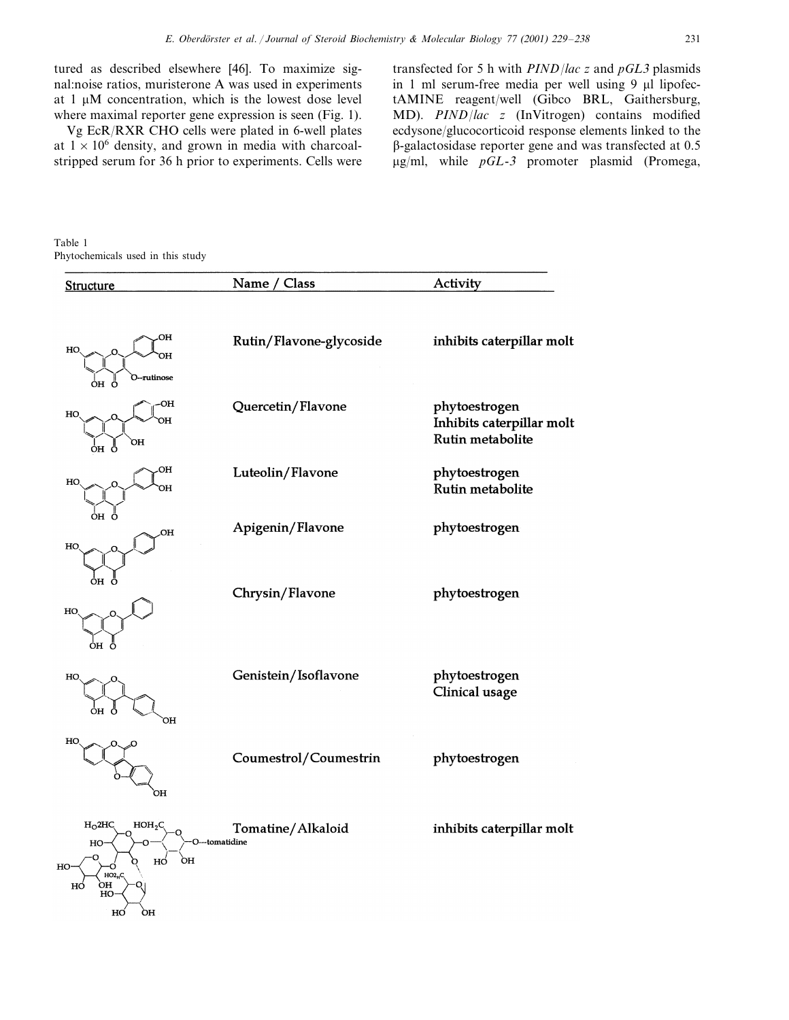tured as described elsewhere [46]. To maximize signal:noise ratios, muristerone A was used in experiments at  $1 \mu M$  concentration, which is the lowest dose level where maximal reporter gene expression is seen (Fig. 1).

Vg EcR/RXR CHO cells were plated in 6-well plates at  $1 \times 10^6$  density, and grown in media with charcoalstripped serum for 36 h prior to experiments. Cells were

transfected for 5 h with *PIND*/*lac z* and *pGL*<sup>3</sup> plasmids in 1 ml serum-free media per well using  $9 \mu l$  lipofectAMINE reagent/well (Gibco BRL, Gaithersburg, MD). *PIND*/*lac z* (InVitrogen) contains modified ecdysone/glucocorticoid response elements linked to the --galactosidase reporter gene and was transfected at 0.5 g/ml, while *pGL*-<sup>3</sup> promoter plasmid (Promega,

Table 1 Phytochemicals used in this study

| Structure                                                                                             | Name / Class                        | Activity                                                       |
|-------------------------------------------------------------------------------------------------------|-------------------------------------|----------------------------------------------------------------|
| OH<br>HO<br>ЭH                                                                                        | Rutin/Flavone-glycoside             | inhibits caterpillar molt                                      |
| O--rutinose<br>oн ö<br>ЮH<br>HO<br>ЯH<br>ЮH                                                           | Quercetin/Flavone                   | phytoestrogen<br>Inhibits caterpillar molt<br>Rutin metabolite |
| ÓH<br>Ö<br>OH<br>HO<br>HC                                                                             | Luteolin/Flavone                    | phytoestrogen<br>Rutin metabolite                              |
| ÒH<br>OH<br>HO                                                                                        | Apigenin/Flavone                    | phytoestrogen                                                  |
| ÒH<br>HO                                                                                              | Chrysin/Flavone                     | phytoestrogen                                                  |
| ÒH<br>HO<br>ОH                                                                                        | Genistein/Isoflavone                | phytoestrogen<br>Clinical usage                                |
| HO<br>OH                                                                                              | Coumestrol/Coumestrin               | phytoestrogen                                                  |
| $H_0$ 2HC<br>HOH <sub>2</sub> C<br>HO<br>ÒН<br>нó<br>HO-<br>ი<br>HO2 <sub>H</sub> C<br>òн<br>HÓ<br>HO | Tomatine/Alkaloid<br>O---tomatidine | inhibits caterpillar molt                                      |
| HO<br>ÒH                                                                                              |                                     |                                                                |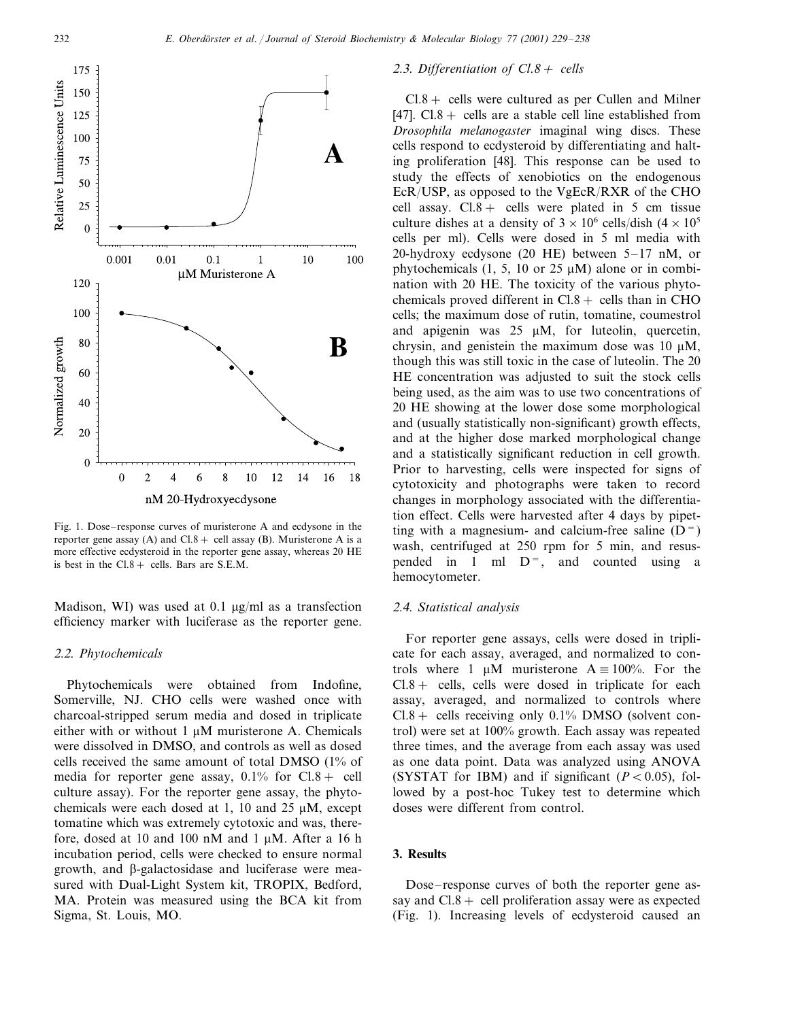

Fig. 1. Dose–response curves of muristerone A and ecdysone in the reporter gene assay (A) and  $Cl.8 +$  cell assay (B). Muristerone A is a more effective ecdysteroid in the reporter gene assay, whereas 20 HE is best in the  $Cl.8 +$  cells. Bars are S.E.M.

Madison, WI) was used at 0.1  $\mu$ g/ml as a transfection efficiency marker with luciferase as the reporter gene.

#### <sup>2</sup>.2. *Phytochemicals*

Phytochemicals were obtained from Indofine, Somerville, NJ. CHO cells were washed once with charcoal-stripped serum media and dosed in triplicate either with or without  $1 \mu M$  muristerone A. Chemicals were dissolved in DMSO, and controls as well as dosed cells received the same amount of total DMSO (1% of media for reporter gene assay,  $0.1\%$  for  $Cl.8 +$  cell culture assay). For the reporter gene assay, the phytochemicals were each dosed at 1, 10 and 25  $\mu$ M, except tomatine which was extremely cytotoxic and was, therefore, dosed at 10 and 100 nM and 1  $\mu$ M. After a 16 h incubation period, cells were checked to ensure normal growth, and  $\beta$ -galactosidase and luciferase were measured with Dual-Light System kit, TROPIX, Bedford, MA. Protein was measured using the BCA kit from Sigma, St. Louis, MO.

#### <sup>2</sup>.3. *Differentiation of Cl*.8<sup>+</sup> *cells*

 $Cl.8 +$  cells were cultured as per Cullen and Milner [47].  $Cl.8 +$  cells are a stable cell line established from *Drosophila melanogaster* imaginal wing discs. These cells respond to ecdysteroid by differentiating and halting proliferation [48]. This response can be used to study the effects of xenobiotics on the endogenous EcR/USP, as opposed to the VgEcR/RXR of the CHO cell assay.  $Cl.8 +$  cells were plated in 5 cm tissue culture dishes at a density of  $3 \times 10^6$  cells/dish  $(4 \times 10^5$ cells per ml). Cells were dosed in 5 ml media with 20-hydroxy ecdysone (20 HE) between 5–17 nM, or phytochemicals  $(1, 5, 10 \text{ or } 25 \mu\text{M})$  alone or in combination with 20 HE. The toxicity of the various phytochemicals proved different in  $Cl.8 +$  cells than in CHO cells; the maximum dose of rutin, tomatine, coumestrol and apigenin was  $25 \mu M$ , for luteolin, quercetin, chrysin, and genistein the maximum dose was 10  $\mu$ M, though this was still toxic in the case of luteolin. The 20 HE concentration was adjusted to suit the stock cells being used, as the aim was to use two concentrations of 20 HE showing at the lower dose some morphological and (usually statistically non-significant) growth effects, and at the higher dose marked morphological change and a statistically significant reduction in cell growth. Prior to harvesting, cells were inspected for signs of cytotoxicity and photographs were taken to record changes in morphology associated with the differentiation effect. Cells were harvested after 4 days by pipetting with a magnesium- and calcium-free saline  $(D=$ wash, centrifuged at 250 rpm for 5 min, and resuspended in 1 ml  $D^=$ , and counted using a hemocytometer.

# <sup>2</sup>.4. *Statistical analysis*

For reporter gene assays, cells were dosed in triplicate for each assay, averaged, and normalized to controls where 1  $\mu$ M muristerone A  $\equiv$  100%. For the  $Cl.8 +$  cells, cells were dosed in triplicate for each assay, averaged, and normalized to controls where  $Cl.8+$  cells receiving only 0.1% DMSO (solvent control) were set at 100% growth. Each assay was repeated three times, and the average from each assay was used as one data point. Data was analyzed using ANOVA (SYSTAT for IBM) and if significant  $(P < 0.05)$ , followed by a post-hoc Tukey test to determine which doses were different from control.

# **3. Results**

Dose–response curves of both the reporter gene assay and  $Cl.8 +$  cell proliferation assay were as expected (Fig. 1). Increasing levels of ecdysteroid caused an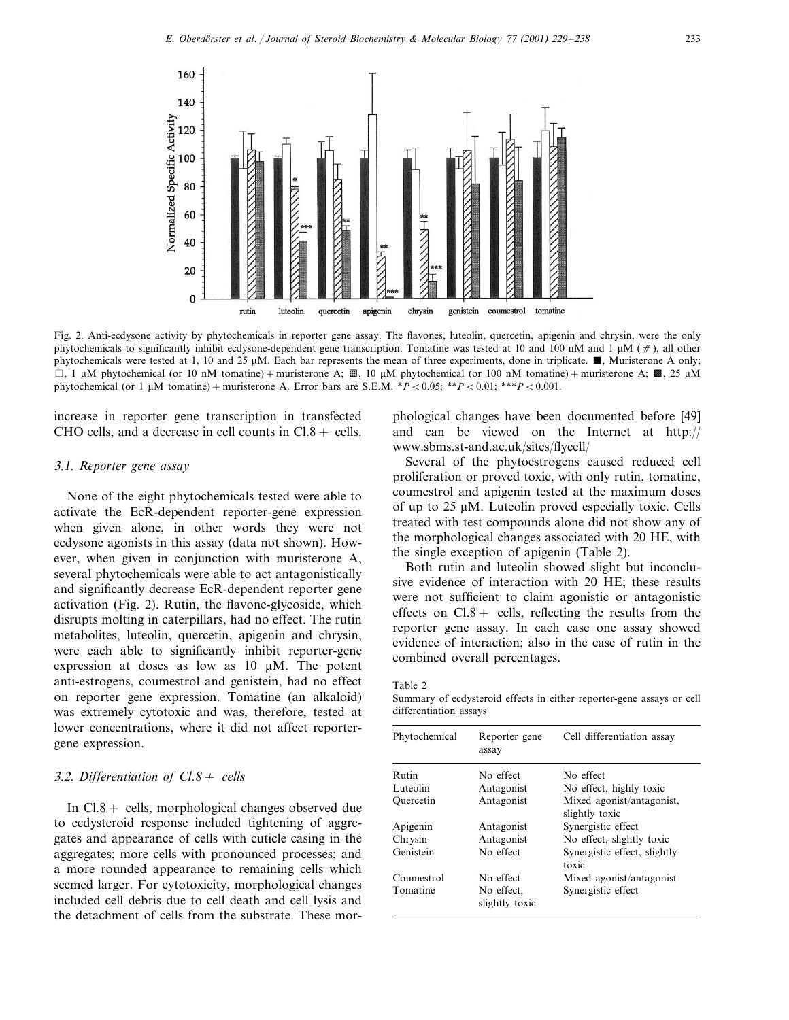

Fig. 2. Anti-ecdysone activity by phytochemicals in reporter gene assay. The flavones, luteolin, quercetin, apigenin and chrysin, were the only phytochemicals to significantly inhibit ecdysone-dependent gene transcription. Tomatine was tested at 10 and 100 nM and 1  $\mu$ M ( $\neq$ ), all other phytochemicals were tested at 1, 10 and 25  $\mu$ M. Each bar represents the mean of three experiments, done in triplicate.  $\blacksquare$ , Muristerone A only;  $\Box$ , 1  $\mu$ M phytochemical (or 10 nM tomatine) + muristerone A;  $\mathbb{Z}$ , 10  $\mu$ M phytochemical (or 100 nM tomatine) + muristerone A;  $\mathbb{Z}$ , 25  $\mu$ M phytochemical (or 1  $\mu$ M tomatine) + muristerone A. Error bars are S.E.M.  $*P < 0.05$ ;  $**P < 0.01$ ;  $**P < 0.001$ .

increase in reporter gene transcription in transfected CHO cells, and a decrease in cell counts in  $Cl.8 +$  cells.

# 3.1. *Reporter gene assay*

None of the eight phytochemicals tested were able to activate the EcR-dependent reporter-gene expression when given alone, in other words they were not ecdysone agonists in this assay (data not shown). However, when given in conjunction with muristerone A, several phytochemicals were able to act antagonistically and significantly decrease EcR-dependent reporter gene activation (Fig. 2). Rutin, the flavone-glycoside, which disrupts molting in caterpillars, had no effect. The rutin metabolites, luteolin, quercetin, apigenin and chrysin, were each able to significantly inhibit reporter-gene expression at doses as low as  $10 \mu M$ . The potent anti-estrogens, coumestrol and genistein, had no effect on reporter gene expression. Tomatine (an alkaloid) was extremely cytotoxic and was, therefore, tested at lower concentrations, where it did not affect reportergene expression.

# 3.2. *Differentiation of Cl*.8<sup>+</sup> *cells*

In  $Cl.8 +$  cells, morphological changes observed due to ecdysteroid response included tightening of aggregates and appearance of cells with cuticle casing in the aggregates; more cells with pronounced processes; and a more rounded appearance to remaining cells which seemed larger. For cytotoxicity, morphological changes included cell debris due to cell death and cell lysis and the detachment of cells from the substrate. These morphological changes have been documented before [49] and can be viewed on the Internet at http:// www.sbms.st-and.ac.uk/sites/flycell/

Several of the phytoestrogens caused reduced cell proliferation or proved toxic, with only rutin, tomatine, coumestrol and apigenin tested at the maximum doses of up to  $25 \mu M$ . Luteolin proved especially toxic. Cells treated with test compounds alone did not show any of the morphological changes associated with 20 HE, with the single exception of apigenin (Table 2).

Both rutin and luteolin showed slight but inconclusive evidence of interaction with 20 HE; these results were not sufficient to claim agonistic or antagonistic effects on  $Cl.8 +$  cells, reflecting the results from the reporter gene assay. In each case one assay showed evidence of interaction; also in the case of rutin in the combined overall percentages.

Table 2

Summary of ecdysteroid effects in either reporter-gene assays or cell differentiation assays

| Phytochemical | Reporter gene<br>assay       | Cell differentiation assay                  |
|---------------|------------------------------|---------------------------------------------|
| <b>Rutin</b>  | No effect                    | No effect                                   |
| Luteolin      | Antagonist                   | No effect, highly toxic                     |
| Ouercetin     | Antagonist                   | Mixed agonist/antagonist,<br>slightly toxic |
| Apigenin      | Antagonist                   | Synergistic effect                          |
| Chrysin       | Antagonist                   | No effect, slightly toxic                   |
| Genistein     | No effect                    | Synergistic effect, slightly<br>toxic       |
| Coumestrol    | No effect                    | Mixed agonist/antagonist                    |
| Tomatine      | No effect,<br>slightly toxic | Synergistic effect                          |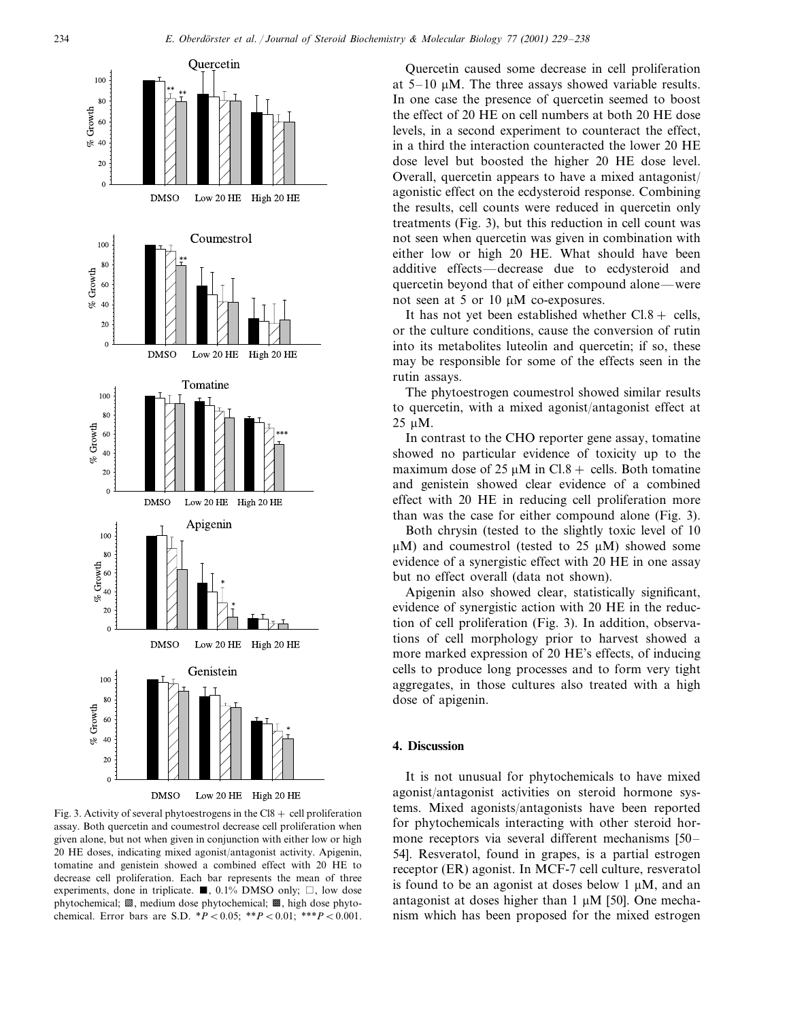

Fig. 3. Activity of several phytoestrogens in the  $C18 + \text{cell}$  proliferation assay. Both quercetin and coumestrol decrease cell proliferation when given alone, but not when given in conjunction with either low or high 20 HE doses, indicating mixed agonist/antagonist activity. Apigenin, tomatine and genistein showed a combined effect with 20 HE to decrease cell proliferation. Each bar represents the mean of three experiments, done in triplicate.  $\blacksquare$ , 0.1% DMSO only;  $\Box$ , low dose phytochemical;  $\mathbb Z$ , medium dose phytochemical;  $\mathbb Z$ , high dose phytochemical. Error bars are S.D. \**P*-0.05; \*\**P*-0.01; \*\*\**P*-0.001.

Quercetin caused some decrease in cell proliferation at  $5-10 \mu M$ . The three assays showed variable results. In one case the presence of quercetin seemed to boost the effect of 20 HE on cell numbers at both 20 HE dose levels, in a second experiment to counteract the effect, in a third the interaction counteracted the lower 20 HE dose level but boosted the higher 20 HE dose level. Overall, quercetin appears to have a mixed antagonist/ agonistic effect on the ecdysteroid response. Combining the results, cell counts were reduced in quercetin only treatments (Fig. 3), but this reduction in cell count was not seen when quercetin was given in combination with either low or high 20 HE. What should have been additive effects—decrease due to ecdysteroid and quercetin beyond that of either compound alone—were not seen at 5 or 10  $\mu$ M co-exposures.

It has not yet been established whether  $Cl.8 +$  cells, or the culture conditions, cause the conversion of rutin into its metabolites luteolin and quercetin; if so, these may be responsible for some of the effects seen in the rutin assays.

The phytoestrogen coumestrol showed similar results to quercetin, with a mixed agonist/antagonist effect at 25 µM.

In contrast to the CHO reporter gene assay, tomatine showed no particular evidence of toxicity up to the maximum dose of 25  $\mu$ M in Cl.8 + cells. Both tomatine and genistein showed clear evidence of a combined effect with 20 HE in reducing cell proliferation more than was the case for either compound alone (Fig. 3).

Both chrysin (tested to the slightly toxic level of 10  $\mu$ M) and coumestrol (tested to 25  $\mu$ M) showed some evidence of a synergistic effect with 20 HE in one assay but no effect overall (data not shown).

Apigenin also showed clear, statistically significant, evidence of synergistic action with 20 HE in the reduction of cell proliferation (Fig. 3). In addition, observations of cell morphology prior to harvest showed a more marked expression of 20 HE's effects, of inducing cells to produce long processes and to form very tight aggregates, in those cultures also treated with a high dose of apigenin.

# **4. Discussion**

It is not unusual for phytochemicals to have mixed agonist/antagonist activities on steroid hormone systems. Mixed agonists/antagonists have been reported for phytochemicals interacting with other steroid hormone receptors via several different mechanisms [50– 54]. Resveratol, found in grapes, is a partial estrogen receptor (ER) agonist. In MCF-7 cell culture, resveratol is found to be an agonist at doses below  $1 \mu M$ , and an antagonist at doses higher than  $1 \mu M$  [50]. One mechanism which has been proposed for the mixed estrogen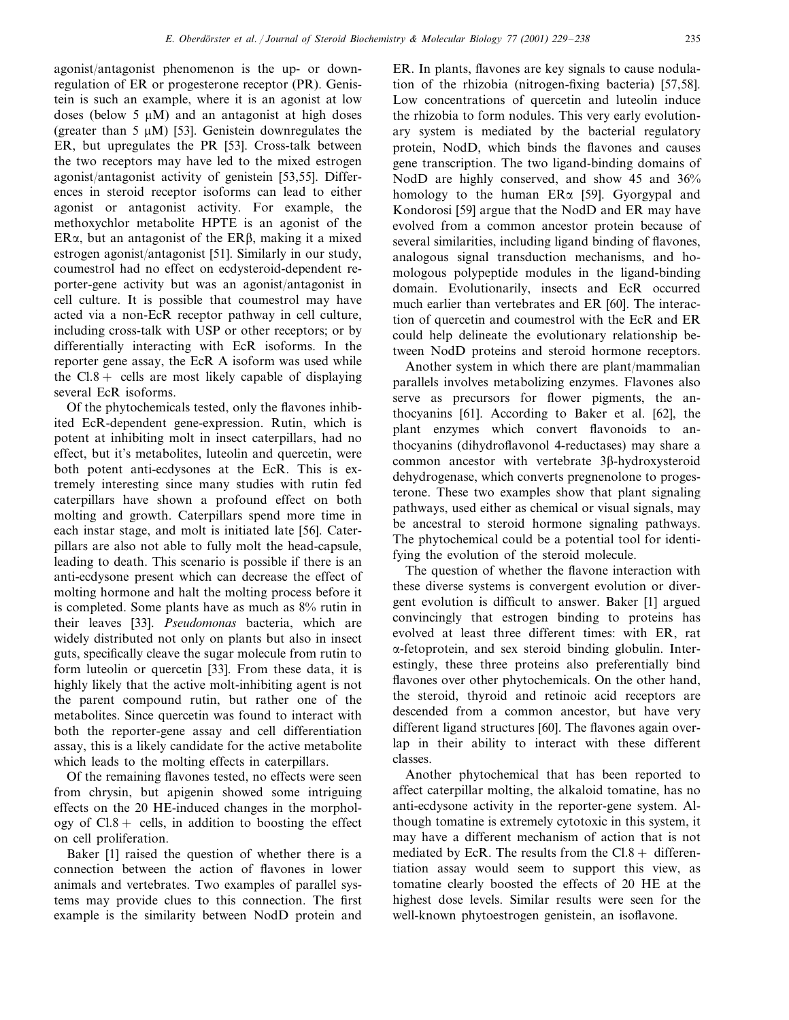agonist/antagonist phenomenon is the up- or downregulation of ER or progesterone receptor (PR). Genistein is such an example, where it is an agonist at low doses (below 5  $\mu$ M) and an antagonist at high doses (greater than 5  $\mu$ M) [53]. Genistein downregulates the ER, but upregulates the PR [53]. Cross-talk between the two receptors may have led to the mixed estrogen agonist/antagonist activity of genistein [53,55]. Differences in steroid receptor isoforms can lead to either agonist or antagonist activity. For example, the methoxychlor metabolite HPTE is an agonist of the ER $\alpha$ , but an antagonist of the ER $\beta$ , making it a mixed estrogen agonist/antagonist [51]. Similarly in our study, coumestrol had no effect on ecdysteroid-dependent reporter-gene activity but was an agonist/antagonist in cell culture. It is possible that coumestrol may have acted via a non-EcR receptor pathway in cell culture, including cross-talk with USP or other receptors; or by differentially interacting with EcR isoforms. In the reporter gene assay, the EcR A isoform was used while the  $Cl.8+$  cells are most likely capable of displaying several EcR isoforms.

Of the phytochemicals tested, only the flavones inhibited EcR-dependent gene-expression. Rutin, which is potent at inhibiting molt in insect caterpillars, had no effect, but it's metabolites, luteolin and quercetin, were both potent anti-ecdysones at the EcR. This is extremely interesting since many studies with rutin fed caterpillars have shown a profound effect on both molting and growth. Caterpillars spend more time in each instar stage, and molt is initiated late [56]. Caterpillars are also not able to fully molt the head-capsule, leading to death. This scenario is possible if there is an anti-ecdysone present which can decrease the effect of molting hormone and halt the molting process before it is completed. Some plants have as much as 8% rutin in their leaves [33]. *Pseudomonas* bacteria, which are widely distributed not only on plants but also in insect guts, specifically cleave the sugar molecule from rutin to form luteolin or quercetin [33]. From these data, it is highly likely that the active molt-inhibiting agent is not the parent compound rutin, but rather one of the metabolites. Since quercetin was found to interact with both the reporter-gene assay and cell differentiation assay, this is a likely candidate for the active metabolite which leads to the molting effects in caterpillars.

Of the remaining flavones tested, no effects were seen from chrysin, but apigenin showed some intriguing effects on the 20 HE-induced changes in the morphology of  $Cl.8+$  cells, in addition to boosting the effect on cell proliferation.

Baker [1] raised the question of whether there is a connection between the action of flavones in lower animals and vertebrates. Two examples of parallel systems may provide clues to this connection. The first example is the similarity between NodD protein and

ER. In plants, flavones are key signals to cause nodulation of the rhizobia (nitrogen-fixing bacteria) [57,58]. Low concentrations of quercetin and luteolin induce the rhizobia to form nodules. This very early evolutionary system is mediated by the bacterial regulatory protein, NodD, which binds the flavones and causes gene transcription. The two ligand-binding domains of NodD are highly conserved, and show 45 and 36% homology to the human  $ER\alpha$  [59]. Gyorgypal and Kondorosi [59] argue that the NodD and ER may have evolved from a common ancestor protein because of several similarities, including ligand binding of flavones, analogous signal transduction mechanisms, and homologous polypeptide modules in the ligand-binding domain. Evolutionarily, insects and EcR occurred much earlier than vertebrates and ER [60]. The interaction of quercetin and coumestrol with the EcR and ER could help delineate the evolutionary relationship between NodD proteins and steroid hormone receptors.

Another system in which there are plant/mammalian parallels involves metabolizing enzymes. Flavones also serve as precursors for flower pigments, the anthocyanins [61]. According to Baker et al. [62], the plant enzymes which convert flavonoids to anthocyanins (dihydroflavonol 4-reductases) may share a common ancestor with vertebrate  $3\beta$ -hydroxysteroid dehydrogenase, which converts pregnenolone to progesterone. These two examples show that plant signaling pathways, used either as chemical or visual signals, may be ancestral to steroid hormone signaling pathways. The phytochemical could be a potential tool for identifying the evolution of the steroid molecule.

The question of whether the flavone interaction with these diverse systems is convergent evolution or divergent evolution is difficult to answer. Baker [1] argued convincingly that estrogen binding to proteins has evolved at least three different times: with ER, rat -fetoprotein, and sex steroid binding globulin. Interestingly, these three proteins also preferentially bind flavones over other phytochemicals. On the other hand, the steroid, thyroid and retinoic acid receptors are descended from a common ancestor, but have very different ligand structures [60]. The flavones again overlap in their ability to interact with these different classes.

Another phytochemical that has been reported to affect caterpillar molting, the alkaloid tomatine, has no anti-ecdysone activity in the reporter-gene system. Although tomatine is extremely cytotoxic in this system, it may have a different mechanism of action that is not mediated by EcR. The results from the  $Cl.8+$  differentiation assay would seem to support this view, as tomatine clearly boosted the effects of 20 HE at the highest dose levels. Similar results were seen for the well-known phytoestrogen genistein, an isoflavone.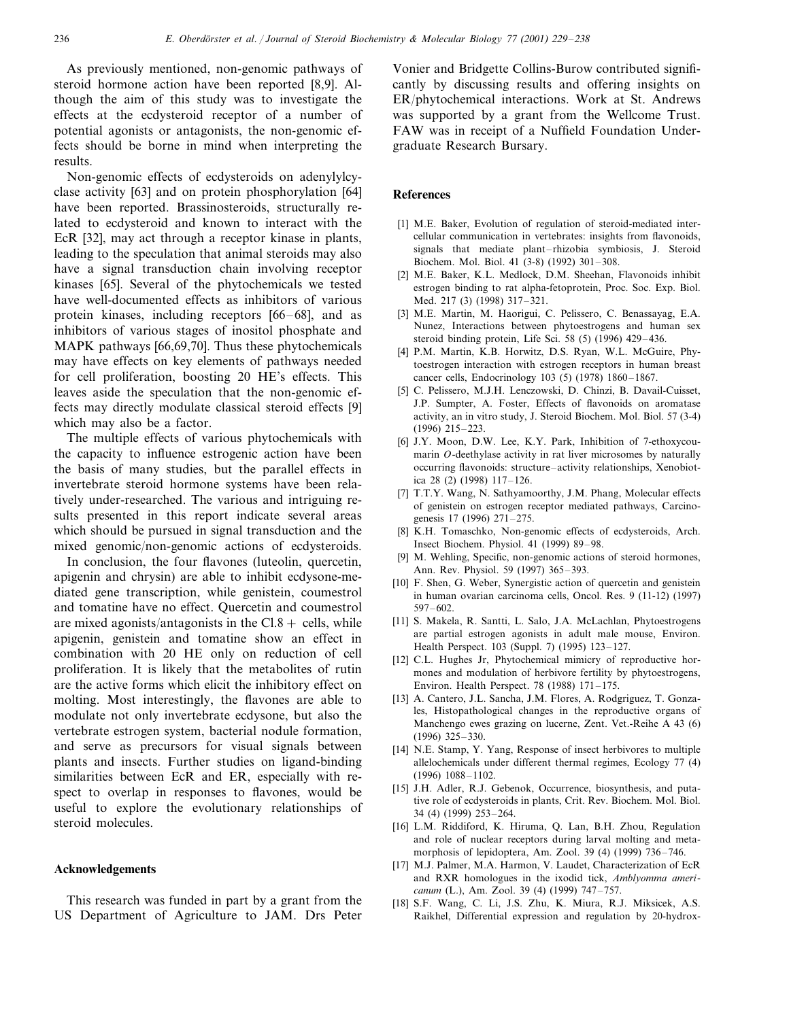As previously mentioned, non-genomic pathways of steroid hormone action have been reported [8,9]. Although the aim of this study was to investigate the effects at the ecdysteroid receptor of a number of potential agonists or antagonists, the non-genomic effects should be borne in mind when interpreting the results.

Non-genomic effects of ecdysteroids on adenylylcyclase activity [63] and on protein phosphorylation [64] have been reported. Brassinosteroids, structurally related to ecdysteroid and known to interact with the EcR [32], may act through a receptor kinase in plants, leading to the speculation that animal steroids may also have a signal transduction chain involving receptor kinases [65]. Several of the phytochemicals we tested have well-documented effects as inhibitors of various protein kinases, including receptors [66–68], and as inhibitors of various stages of inositol phosphate and MAPK pathways [66,69,70]. Thus these phytochemicals may have effects on key elements of pathways needed for cell proliferation, boosting 20 HE's effects. This leaves aside the speculation that the non-genomic effects may directly modulate classical steroid effects [9] which may also be a factor.

The multiple effects of various phytochemicals with the capacity to influence estrogenic action have been the basis of many studies, but the parallel effects in invertebrate steroid hormone systems have been relatively under-researched. The various and intriguing results presented in this report indicate several areas which should be pursued in signal transduction and the mixed genomic/non-genomic actions of ecdysteroids.

In conclusion, the four flavones (luteolin, quercetin, apigenin and chrysin) are able to inhibit ecdysone-mediated gene transcription, while genistein, coumestrol and tomatine have no effect. Quercetin and coumestrol are mixed agonists/antagonists in the  $Cl.8 +$  cells, while apigenin, genistein and tomatine show an effect in combination with 20 HE only on reduction of cell proliferation. It is likely that the metabolites of rutin are the active forms which elicit the inhibitory effect on molting. Most interestingly, the flavones are able to modulate not only invertebrate ecdysone, but also the vertebrate estrogen system, bacterial nodule formation, and serve as precursors for visual signals between plants and insects. Further studies on ligand-binding similarities between EcR and ER, especially with respect to overlap in responses to flavones, would be useful to explore the evolutionary relationships of steroid molecules.

#### **Acknowledgements**

This research was funded in part by a grant from the US Department of Agriculture to JAM. Drs Peter Vonier and Bridgette Collins-Burow contributed significantly by discussing results and offering insights on ER/phytochemical interactions. Work at St. Andrews was supported by a grant from the Wellcome Trust. FAW was in receipt of a Nuffield Foundation Undergraduate Research Bursary.

#### **References**

- [1] M.E. Baker, Evolution of regulation of steroid-mediated intercellular communication in vertebrates: insights from flavonoids, signals that mediate plant–rhizobia symbiosis, J. Steroid Biochem. Mol. Biol. 41 (3-8) (1992) 301–308.
- [2] M.E. Baker, K.L. Medlock, D.M. Sheehan, Flavonoids inhibit estrogen binding to rat alpha-fetoprotein, Proc. Soc. Exp. Biol. Med. 217 (3) (1998) 317–321.
- [3] M.E. Martin, M. Haorigui, C. Pelissero, C. Benassayag, E.A. Nunez, Interactions between phytoestrogens and human sex steroid binding protein, Life Sci. 58 (5) (1996) 429–436.
- [4] P.M. Martin, K.B. Horwitz, D.S. Ryan, W.L. McGuire, Phytoestrogen interaction with estrogen receptors in human breast cancer cells, Endocrinology 103 (5) (1978) 1860–1867.
- [5] C. Pelissero, M.J.H. Lenczowski, D. Chinzi, B. Davail-Cuisset, J.P. Sumpter, A. Foster, Effects of flavonoids on aromatase activity, an in vitro study, J. Steroid Biochem. Mol. Biol. 57 (3-4) (1996) 215–223.
- [6] J.Y. Moon, D.W. Lee, K.Y. Park, Inhibition of 7-ethoxycoumarin *O*-deethylase activity in rat liver microsomes by naturally occurring flavonoids: structure–activity relationships, Xenobiotica 28 (2) (1998) 117–126.
- [7] T.T.Y. Wang, N. Sathyamoorthy, J.M. Phang, Molecular effects of genistein on estrogen receptor mediated pathways, Carcinogenesis 17 (1996) 271–275.
- [8] K.H. Tomaschko, Non-genomic effects of ecdysteroids, Arch. Insect Biochem. Physiol. 41 (1999) 89–98.
- [9] M. Wehling, Specific, non-genomic actions of steroid hormones, Ann. Rev. Physiol. 59 (1997) 365–393.
- [10] F. Shen, G. Weber, Synergistic action of quercetin and genistein in human ovarian carcinoma cells, Oncol. Res. 9 (11-12) (1997) 597–602.
- [11] S. Makela, R. Santti, L. Salo, J.A. McLachlan, Phytoestrogens are partial estrogen agonists in adult male mouse, Environ. Health Perspect. 103 (Suppl. 7) (1995) 123–127.
- [12] C.L. Hughes Jr, Phytochemical mimicry of reproductive hormones and modulation of herbivore fertility by phytoestrogens, Environ. Health Perspect. 78 (1988) 171–175.
- [13] A. Cantero, J.L. Sancha, J.M. Flores, A. Rodgriguez, T. Gonzales, Histopathological changes in the reproductive organs of Manchengo ewes grazing on lucerne, Zent. Vet.-Reihe A 43 (6) (1996) 325–330.
- [14] N.E. Stamp, Y. Yang, Response of insect herbivores to multiple allelochemicals under different thermal regimes, Ecology 77 (4) (1996) 1088–1102.
- [15] J.H. Adler, R.J. Gebenok, Occurrence, biosynthesis, and putative role of ecdysteroids in plants, Crit. Rev. Biochem. Mol. Biol. 34 (4) (1999) 253–264.
- [16] L.M. Riddiford, K. Hiruma, Q. Lan, B.H. Zhou, Regulation and role of nuclear receptors during larval molting and metamorphosis of lepidoptera, Am. Zool. 39 (4) (1999) 736–746.
- [17] M.J. Palmer, M.A. Harmon, V. Laudet, Characterization of EcR and RXR homologues in the ixodid tick, *Amblyomma americanum* (L.), Am. Zool. 39 (4) (1999) 747–757.
- [18] S.F. Wang, C. Li, J.S. Zhu, K. Miura, R.J. Miksicek, A.S. Raikhel, Differential expression and regulation by 20-hydrox-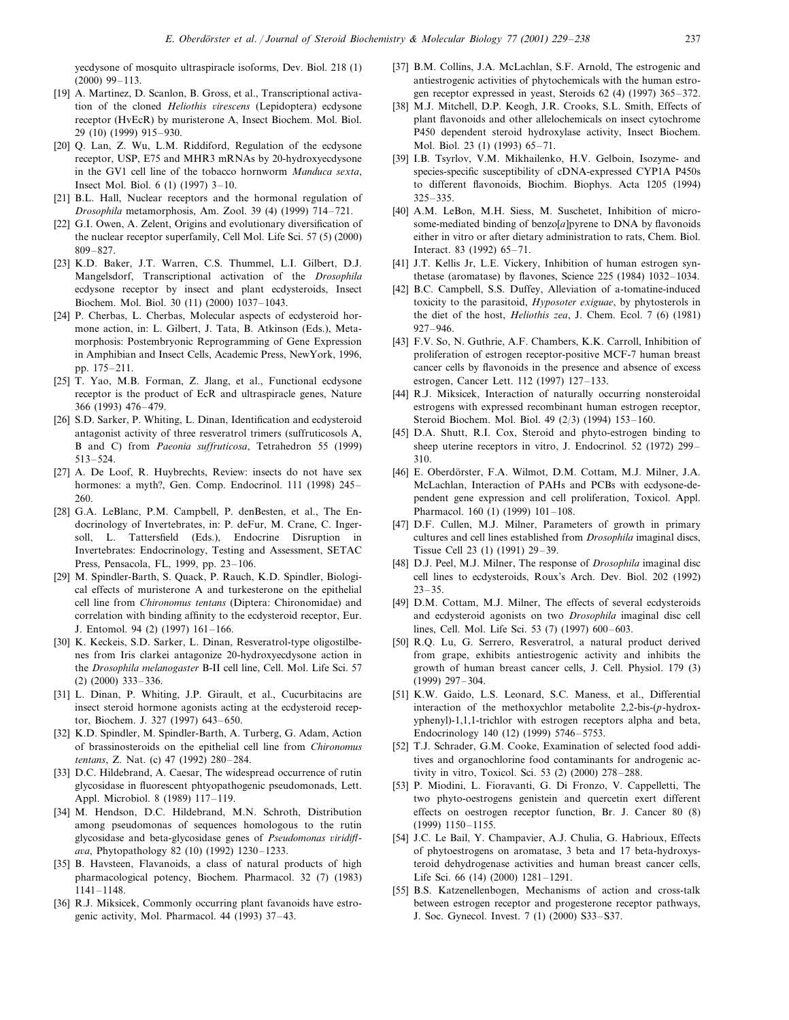yecdysone of mosquito ultraspiracle isoforms, Dev. Biol. 218 (1) (2000) 99–113.

- [19] A. Martinez, D. Scanlon, B. Gross, et al., Transcriptional activation of the cloned *Heliothis irescens* (Lepidoptera) ecdysone receptor (HvEcR) by muristerone A, Insect Biochem. Mol. Biol. 29 (10) (1999) 915–930.
- [20] Q. Lan, Z. Wu, L.M. Riddiford, Regulation of the ecdysone receptor, USP, E75 and MHR3 mRNAs by 20-hydroxyecdysone in the GV1 cell line of the tobacco hornworm *Manduca sexta*, Insect Mol. Biol. 6 (1) (1997) 3–10.
- [21] B.L. Hall, Nuclear receptors and the hormonal regulation of *Drosophila* metamorphosis, Am. Zool. 39 (4) (1999) 714–721.
- [22] G.I. Owen, A. Zelent, Origins and evolutionary diversification of the nuclear receptor superfamily, Cell Mol. Life Sci. 57 (5) (2000) 809–827.
- [23] K.D. Baker, J.T. Warren, C.S. Thummel, L.I. Gilbert, D.J. Mangelsdorf, Transcriptional activation of the *Drosophila* ecdysone receptor by insect and plant ecdysteroids, Insect Biochem. Mol. Biol. 30 (11) (2000) 1037–1043.
- [24] P. Cherbas, L. Cherbas, Molecular aspects of ecdysteroid hormone action, in: L. Gilbert, J. Tata, B. Atkinson (Eds.), Metamorphosis: Postembryonic Reprogramming of Gene Expression in Amphibian and Insect Cells, Academic Press, NewYork, 1996, pp. 175–211.
- [25] T. Yao, M.B. Forman, Z. Jlang, et al., Functional ecdysone receptor is the product of EcR and ultraspiracle genes, Nature 366 (1993) 476–479.
- [26] S.D. Sarker, P. Whiting, L. Dinan, Identification and ecdysteroid antagonist activity of three resveratrol trimers (suffruticosols A, B and C) from *Paeonia suffruticosa*, Tetrahedron 55 (1999) 513–524.
- [27] A. De Loof, R. Huybrechts, Review: insects do not have sex hormones: a myth?, Gen. Comp. Endocrinol. 111 (1998) 245-260.
- [28] G.A. LeBlanc, P.M. Campbell, P. denBesten, et al., The Endocrinology of Invertebrates, in: P. deFur, M. Crane, C. Ingersoll, L. Tattersfield (Eds.), Endocrine Disruption in Invertebrates: Endocrinology, Testing and Assessment, SETAC Press, Pensacola, FL, 1999, pp. 23–106.
- [29] M. Spindler-Barth, S. Quack, P. Rauch, K.D. Spindler, Biological effects of muristerone A and turkesterone on the epithelial cell line from *Chironomus tentans* (Diptera: Chironomidae) and correlation with binding affinity to the ecdysteroid receptor, Eur. J. Entomol. 94 (2) (1997) 161–166.
- [30] K. Keckeis, S.D. Sarker, L. Dinan, Resveratrol-type oligostilbenes from Iris clarkei antagonize 20-hydroxyecdysone action in the *Drosophila melanogaster* B-II cell line, Cell. Mol. Life Sci. 57 (2) (2000) 333–336.
- [31] L. Dinan, P. Whiting, J.P. Girault, et al., Cucurbitacins are insect steroid hormone agonists acting at the ecdysteroid receptor, Biochem. J. 327 (1997) 643–650.
- [32] K.D. Spindler, M. Spindler-Barth, A. Turberg, G. Adam, Action of brassinosteroids on the epithelial cell line from *Chironomus tentans*, Z. Nat. (c) 47 (1992) 280–284.
- [33] D.C. Hildebrand, A. Caesar, The widespread occurrence of rutin glycosidase in fluorescent phtyopathogenic pseudomonads, Lett. Appl. Microbiol. 8 (1989) 117–119.
- [34] M. Hendson, D.C. Hildebrand, M.N. Schroth, Distribution among pseudomonas of sequences homologous to the rutin glycosidase and beta-glycosidase genes of *Pseudomonas iridiflaa*, Phytopathology 82 (10) (1992) 1230–1233.
- [35] B. Havsteen, Flavanoids, a class of natural products of high pharmacological potency, Biochem. Pharmacol. 32 (7) (1983) 1141–1148.
- [36] R.J. Miksicek, Commonly occurring plant favanoids have estrogenic activity, Mol. Pharmacol. 44 (1993) 37–43.
- [37] B.M. Collins, J.A. McLachlan, S.F. Arnold, The estrogenic and antiestrogenic activities of phytochemicals with the human estrogen receptor expressed in yeast, Steroids 62 (4) (1997) 365–372.
- [38] M.J. Mitchell, D.P. Keogh, J.R. Crooks, S.L. Smith, Effects of plant flavonoids and other allelochemicals on insect cytochrome P450 dependent steroid hydroxylase activity, Insect Biochem. Mol. Biol. 23 (1) (1993) 65–71.
- [39] I.B. Tsyrlov, V.M. Mikhailenko, H.V. Gelboin, Isozyme- and species-specific susceptibility of cDNA-expressed CYP1A P450s to different flavonoids, Biochim. Biophys. Acta 1205 (1994) 325–335.
- [40] A.M. LeBon, M.H. Siess, M. Suschetet, Inhibition of microsome-mediated binding of benzo[a]pyrene to DNA by flavonoids either in vitro or after dietary administration to rats, Chem. Biol. Interact. 83 (1992) 65–71.
- [41] J.T. Kellis Jr, L.E. Vickery, Inhibition of human estrogen synthetase (aromatase) by flavones, Science 225 (1984) 1032–1034.
- [42] B.C. Campbell, S.S. Duffey, Alleviation of a-tomatine-induced toxicity to the parasitoid, *Hyposoter exiguae*, by phytosterols in the diet of the host, *Heliothis zea*, J. Chem. Ecol. 7 (6) (1981) 927–946.
- [43] F.V. So, N. Guthrie, A.F. Chambers, K.K. Carroll, Inhibition of proliferation of estrogen receptor-positive MCF-7 human breast cancer cells by flavonoids in the presence and absence of excess estrogen, Cancer Lett. 112 (1997) 127–133.
- [44] R.J. Miksicek, Interaction of naturally occurring nonsteroidal estrogens with expressed recombinant human estrogen receptor, Steroid Biochem. Mol. Biol. 49 (2/3) (1994) 153–160.
- [45] D.A. Shutt, R.I. Cox, Steroid and phyto-estrogen binding to sheep uterine receptors in vitro, J. Endocrinol. 52 (1972) 299– 310.
- [46] E. Oberdörster, F.A. Wilmot, D.M. Cottam, M.J. Milner, J.A. McLachlan, Interaction of PAHs and PCBs with ecdysone-dependent gene expression and cell proliferation, Toxicol. Appl. Pharmacol. 160 (1) (1999) 101–108.
- [47] D.F. Cullen, M.J. Milner, Parameters of growth in primary cultures and cell lines established from *Drosophila* imaginal discs, Tissue Cell 23 (1) (1991) 29–39.
- [48] D.J. Peel, M.J. Milner, The response of *Drosophila* imaginal disc cell lines to ecdysteroids, Roux's Arch. Dev. Biol. 202 (1992)  $23 - 35$ .
- [49] D.M. Cottam, M.J. Milner, The effects of several ecdysteroids and ecdysteroid agonists on two *Drosophila* imaginal disc cell lines, Cell. Mol. Life Sci. 53 (7) (1997) 600–603.
- [50] R.Q. Lu, G. Serrero, Resveratrol, a natural product derived from grape, exhibits antiestrogenic activity and inhibits the growth of human breast cancer cells, J. Cell. Physiol. 179 (3) (1999) 297–304.
- [51] K.W. Gaido, L.S. Leonard, S.C. Maness, et al., Differential interaction of the methoxychlor metabolite 2,2-bis-(*p*-hydroxyphenyl)-1,1,1-trichlor with estrogen receptors alpha and beta, Endocrinology 140 (12) (1999) 5746–5753.
- [52] T.J. Schrader, G.M. Cooke, Examination of selected food additives and organochlorine food contaminants for androgenic activity in vitro, Toxicol. Sci. 53 (2) (2000) 278–288.
- [53] P. Miodini, L. Fioravanti, G. Di Fronzo, V. Cappelletti, The two phyto-oestrogens genistein and quercetin exert different effects on oestrogen receptor function, Br. J. Cancer 80 (8) (1999) 1150–1155.
- [54] J.C. Le Bail, Y. Champavier, A.J. Chulia, G. Habrioux, Effects of phytoestrogens on aromatase, 3 beta and 17 beta-hydroxysteroid dehydrogenase activities and human breast cancer cells, Life Sci. 66 (14) (2000) 1281–1291.
- [55] B.S. Katzenellenbogen, Mechanisms of action and cross-talk between estrogen receptor and progesterone receptor pathways, J. Soc. Gynecol. Invest. 7 (1) (2000) S33–S37.